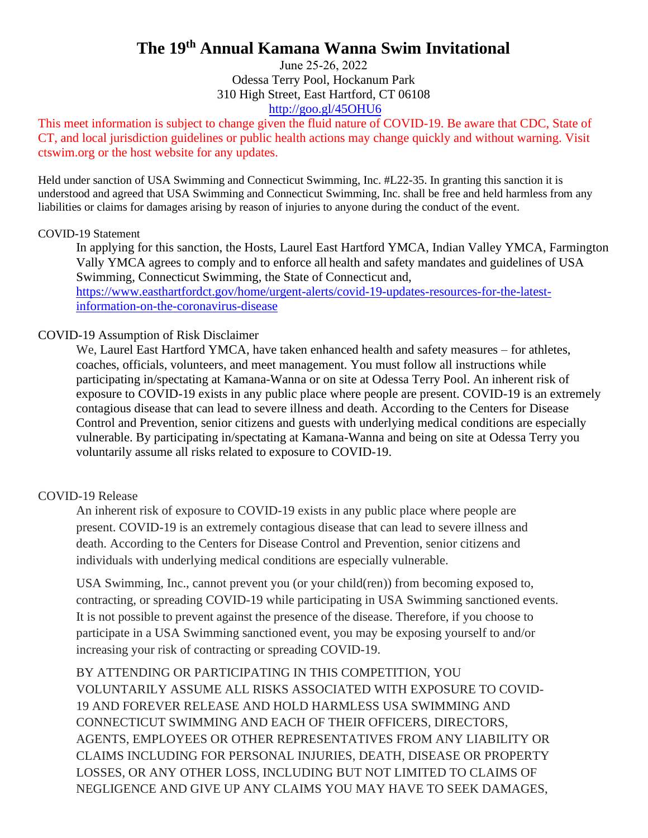# **The 19th Annual Kamana Wanna Swim Invitational**

June 25-26, 2022 Odessa Terry Pool, Hockanum Park 310 High [Street, East Hartford, C](http://goo.gl/45OHU6)T 06108 http://goo.gl/45OHU6

This meet information is subject to change given the fluid nature of COVID-19. Be aware that CDC, State of CT, and local jurisdiction guidelines or public health actions may change quickly and without warning. Visit ctswim.org or the host website for any updates.

Held under sanction of USA Swimming and Connecticut Swimming, Inc. #L22-35. In granting this sanction it is understood and agreed that USA Swimming and Connecticut Swimming, Inc. shall be free and held harmless from any liabilities or claims for damages arising by reason of injuries to anyone during the conduct of the event.

#### COVID-19 Statement

In applying for this sanction, the Hosts, Laurel East Hartford YMCA, Indian Valley YMCA, Farmington Vally YMCA agrees to comply and to enforce all health and safety mandates and guidelines of USA Swimming, Connecticut Swimming, the State of Connecticut and, [https://www.easthartfordct.gov/home/urgent-alerts/covid-19-updates-resources-for-the-latest](https://www.easthartfordct.gov/home/urgent-alerts/covid-19-updates-resources-for-the-latest-information-on-the-coronavirus-disease)[information-on-the-coronavirus-disease](https://www.easthartfordct.gov/home/urgent-alerts/covid-19-updates-resources-for-the-latest-information-on-the-coronavirus-disease)

#### COVID-19 Assumption of Risk Disclaimer

We, Laurel East Hartford YMCA, have taken enhanced health and safety measures – for athletes, coaches, officials, volunteers, and meet management. You must follow all instructions while participating in/spectating at Kamana-Wanna or on site at Odessa Terry Pool. An inherent risk of exposure to COVID-19 exists in any public place where people are present. COVID-19 is an extremely contagious disease that can lead to severe illness and death. According to the Centers for Disease Control and Prevention, senior citizens and guests with underlying medical conditions are especially vulnerable. By participating in/spectating at Kamana-Wanna and being on site at Odessa Terry you voluntarily assume all risks related to exposure to COVID-19.

#### COVID-19 Release

An inherent risk of exposure to COVID-19 exists in any public place where people are present. COVID-19 is an extremely contagious disease that can lead to severe illness and death. According to the Centers for Disease Control and Prevention, senior citizens and individuals with underlying medical conditions are especially vulnerable.

USA Swimming, Inc., cannot prevent you (or your child(ren)) from becoming exposed to, contracting, or spreading COVID-19 while participating in USA Swimming sanctioned events. It is not possible to prevent against the presence of the disease. Therefore, if you choose to participate in a USA Swimming sanctioned event, you may be exposing yourself to and/or increasing your risk of contracting or spreading COVID-19.

BY ATTENDING OR PARTICIPATING IN THIS COMPETITION, YOU VOLUNTARILY ASSUME ALL RISKS ASSOCIATED WITH EXPOSURE TO COVID-19 AND FOREVER RELEASE AND HOLD HARMLESS USA SWIMMING AND CONNECTICUT SWIMMING AND EACH OF THEIR OFFICERS, DIRECTORS, AGENTS, EMPLOYEES OR OTHER REPRESENTATIVES FROM ANY LIABILITY OR CLAIMS INCLUDING FOR PERSONAL INJURIES, DEATH, DISEASE OR PROPERTY LOSSES, OR ANY OTHER LOSS, INCLUDING BUT NOT LIMITED TO CLAIMS OF NEGLIGENCE AND GIVE UP ANY CLAIMS YOU MAY HAVE TO SEEK DAMAGES,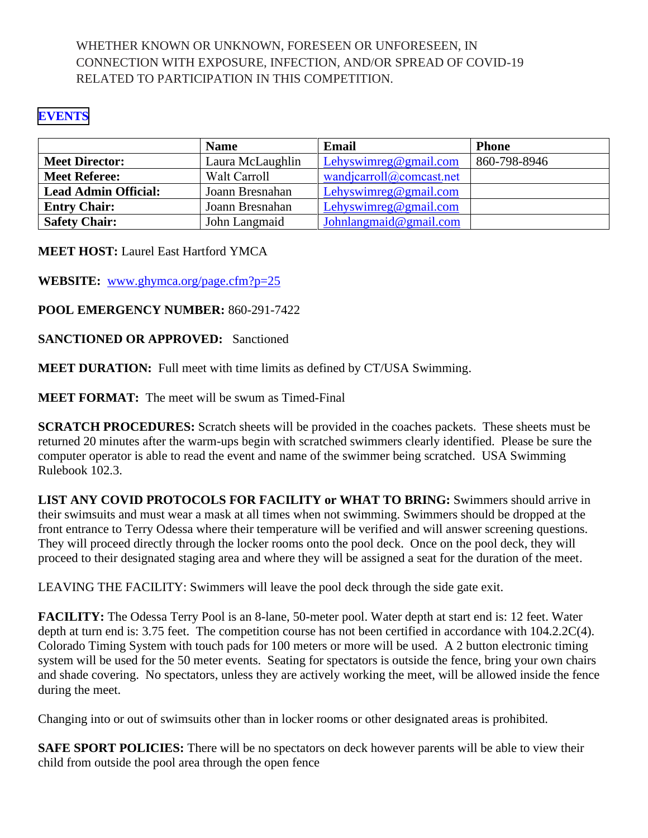## WHETHER KNOWN OR UNKNOWN, FORESEEN OR UNFORESEEN, IN CONNECTION WITH EXPOSURE, INFECTION, AND/OR SPREAD OF COVID-19 RELATED TO PARTICIPATION IN THIS COMPETITION.

#### **[EVENTS](#page-7-0)**

|                             | <b>Name</b>      | Email                    | <b>Phone</b> |
|-----------------------------|------------------|--------------------------|--------------|
| <b>Meet Director:</b>       | Laura McLaughlin | Lehyswimreg@gmail.com    | 860-798-8946 |
| <b>Meet Referee:</b>        | Walt Carroll     | wandjcarroll@comcast.net |              |
| <b>Lead Admin Official:</b> | Joann Bresnahan  | Lehyswimreg@gmail.com    |              |
| <b>Entry Chair:</b>         | Joann Bresnahan  | Lehyswimreg@gmail.com    |              |
| <b>Safety Chair:</b>        | John Langmaid    | Johnlangmaid@gmail.com   |              |

**MEET HOST:** Laurel East Hartford YMCA

**WEBSITE:** [www.ghymca.org/page.cfm?p=25](http://www.ghymca.org/page.cfm?p=25)

**POOL EMERGENCY NUMBER:** 860-291-7422

**SANCTIONED OR APPROVED:** Sanctioned

**MEET DURATION:** Full meet with time limits as defined by CT/USA Swimming.

**MEET FORMAT:** The meet will be swum as Timed-Final

**SCRATCH PROCEDURES:** Scratch sheets will be provided in the coaches packets. These sheets must be returned 20 minutes after the warm-ups begin with scratched swimmers clearly identified. Please be sure the computer operator is able to read the event and name of the swimmer being scratched. USA Swimming Rulebook 102.3.

**LIST ANY COVID PROTOCOLS FOR FACILITY or WHAT TO BRING:** Swimmers should arrive in their swimsuits and must wear a mask at all times when not swimming. Swimmers should be dropped at the front entrance to Terry Odessa where their temperature will be verified and will answer screening questions. They will proceed directly through the locker rooms onto the pool deck. Once on the pool deck, they will proceed to their designated staging area and where they will be assigned a seat for the duration of the meet.

LEAVING THE FACILITY: Swimmers will leave the pool deck through the side gate exit.

**FACILITY:** The Odessa Terry Pool is an 8-lane, 50-meter pool. Water depth at start end is: 12 feet. Water depth at turn end is: 3.75 feet. The competition course has not been certified in accordance with  $104.2.2C(4)$ . Colorado Timing System with touch pads for 100 meters or more will be used. A 2 button electronic timing system will be used for the 50 meter events. Seating for spectators is outside the fence, bring your own chairs and shade covering. No spectators, unless they are actively working the meet, will be allowed inside the fence during the meet.

Changing into or out of swimsuits other than in locker rooms or other designated areas is prohibited.

**SAFE SPORT POLICIES:** There will be no spectators on deck however parents will be able to view their child from outside the pool area through the open fence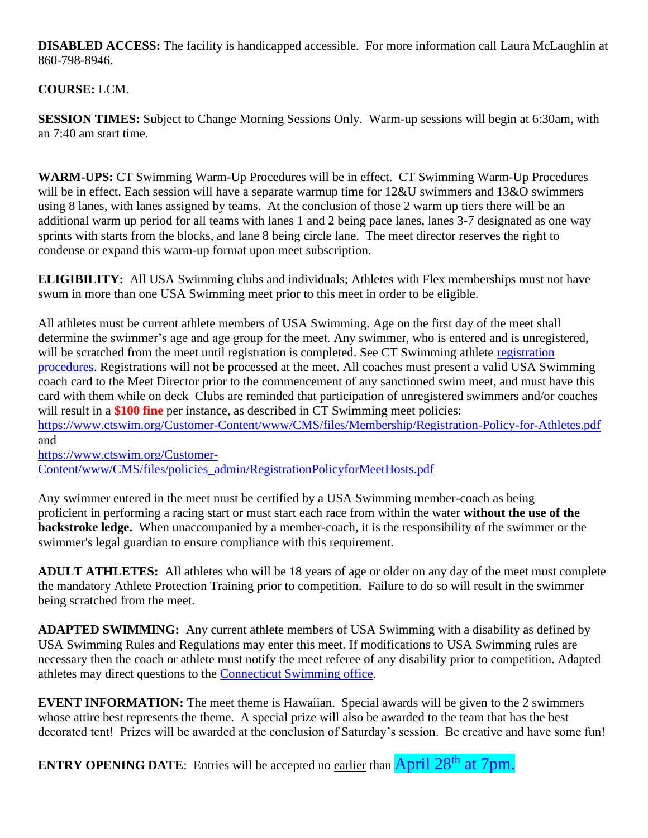**DISABLED ACCESS:** The facility is handicapped accessible. For more information call Laura McLaughlin at 860-798-8946.

## **COURSE:** LCM.

**SESSION TIMES:** Subject to Change Morning Sessions Only. Warm-up sessions will begin at 6:30am, with an 7:40 am start time.

**WARM-UPS:** CT Swimming Warm-Up Procedures will be in effect. CT Swimming Warm-Up Procedures will be in effect. Each session will have a separate warmup time for  $12&U$  swimmers and  $13&O$  swimmers using 8 lanes, with lanes assigned by teams. At the conclusion of those 2 warm up tiers there will be an additional warm up period for all teams with lanes 1 and 2 being pace lanes, lanes 3-7 designated as one way sprints with starts from the blocks, and lane 8 being circle lane. The meet director reserves the right to condense or expand this warm-up format upon meet subscription.

**ELIGIBILITY:** All USA Swimming clubs and individuals; Athletes with Flex memberships must not have swum in more than one USA Swimming meet prior to this meet in order to be eligible.

All athletes must be current athlete members of USA Swimming. Age on the first day of the meet shall determine the swimmer's age and age group for the meet. Any swimmer, who is entered and is unregistered, will be scratched from the meet until [registration](https://www.ctswim.org/Membership/Athletes/) is completed. See CT Swimming athlete registration [procedures.](https://www.ctswim.org/Membership/Athletes/) Registrations will not be processed at the meet. All coaches must present a valid USA Swimming coach card to the Meet Director prior to the commencement of any sanctioned swim meet, and must have this card with them while on deck Clubs are reminded that participation of unregistered swimmers and/or coaches will result in a **\$100 fine** per instance, as described in CT Swimming meet policies:

<https://www.ctswim.org/Customer-Content/www/CMS/files/Membership/Registration-Policy-for-Athletes.pdf> and

[https://www.ctswim.org/Customer-](https://www.ctswim.org/Customer-Content/www/CMS/files/policies_admin/RegistrationPolicyforMeetHosts.pdf)[Content/www/CMS/files/policies\\_admin/RegistrationPolicyforMeetHosts.pdf](https://www.ctswim.org/Customer-Content/www/CMS/files/policies_admin/RegistrationPolicyforMeetHosts.pdf)

Any swimmer entered in the meet must be certified by a USA Swimming member-coach as being proficient in performing a racing start or must start each race from within the water **without the use of the backstroke ledge.** When unaccompanied by a member-coach, it is the responsibility of the swimmer or the swimmer's legal guardian to ensure compliance with this requirement.

**ADULT ATHLETES:** All athletes who will be 18 years of age or older on any day of the meet must complete the mandatory Athlete Protection Training prior to competition. Failure to do so will result in the swimmer being scratched from the meet.

**ADAPTED SWIMMING:** Any current athlete members of USA Swimming with a disability as defined by USA Swimming Rules and Regulations may enter this meet. If modifications to USA Swimming rules are necessary then the coach or athlete must notify the meet referee of any disability prior to competition. Adapted athletes may direct questions to the [Connecticut Swimming office.](mailto:office@ctswim.org)

**EVENT INFORMATION:** The meet theme is Hawaiian. Special awards will be given to the 2 swimmers whose attire best represents the theme. A special prize will also be awarded to the team that has the best decorated tent! Prizes will be awarded at the conclusion of Saturday's session. Be creative and have some fun!

**ENTRY OPENING DATE:** Entries will be accepted no earlier than **April 28<sup>th</sup> at 7pm.**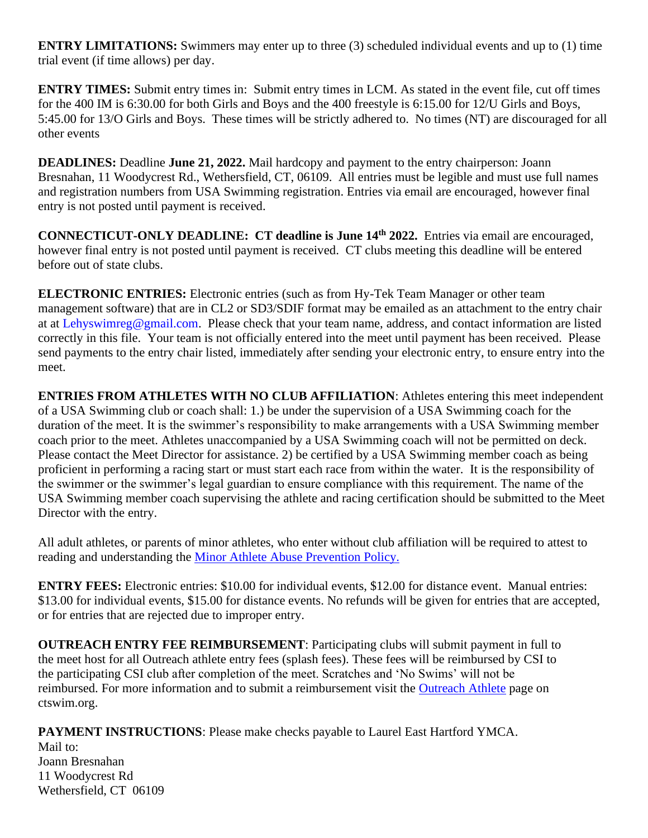**ENTRY LIMITATIONS:** Swimmers may enter up to three (3) scheduled individual events and up to (1) time trial event (if time allows) per day.

**ENTRY TIMES:** Submit entry times in: Submit entry times in LCM. As stated in the event file, cut off times for the 400 IM is 6:30.00 for both Girls and Boys and the 400 freestyle is 6:15.00 for 12/U Girls and Boys, 5:45.00 for 13/O Girls and Boys. These times will be strictly adhered to. No times (NT) are discouraged for all other events

**DEADLINES:** Deadline **June 21, 2022.** Mail hardcopy and payment to the entry chairperson: Joann Bresnahan, 11 Woodycrest Rd., Wethersfield, CT, 06109. All entries must be legible and must use full names and registration numbers from USA Swimming registration. Entries via email are encouraged, however final entry is not posted until payment is received.

**CONNECTICUT-ONLY DEADLINE: CT deadline is June 14th 2022.** Entries via email are encouraged, however final entry is not posted until payment is received. CT clubs meeting this deadline will be entered before out of state clubs.

**ELECTRONIC ENTRIES:** Electronic entries (such as from Hy-Tek Team Manager or other team management software) that are in CL2 or SD3/SDIF format may be emailed as an attachment to the entry chair at at Lehyswimreg@gmail.com. Please check that your team name, address, and contact information are listed correctly in this file. Your team is not officially entered into the meet until payment has been received. Please send payments to the entry chair listed, immediately after sending your electronic entry, to ensure entry into the meet.

**ENTRIES FROM ATHLETES WITH NO CLUB AFFILIATION**: Athletes entering this meet independent of a USA Swimming club or coach shall: 1.) be under the supervision of a USA Swimming coach for the duration of the meet. It is the swimmer's responsibility to make arrangements with a USA Swimming member coach prior to the meet. Athletes unaccompanied by a USA Swimming coach will not be permitted on deck. Please contact the Meet Director for assistance. 2) be certified by a USA Swimming member coach as being proficient in performing a racing start or must start each race from within the water. It is the responsibility of the swimmer or the swimmer's legal guardian to ensure compliance with this requirement. The name of the USA Swimming member coach supervising the athlete and racing certification should be submitted to the Meet Director with the entry.

All adult athletes, or parents of minor athletes, who enter without club affiliation will be required to attest to reading and understanding the [Minor Athlete Abuse Prevention Policy.](https://www.usaswimming.org/utility/landing-pages/minor-athlete-abuse-prevention-policy)

**ENTRY FEES:** Electronic entries: \$10.00 for individual events, \$12.00 for distance event. Manual entries: \$13.00 for individual events, \$15.00 for distance events. No refunds will be given for entries that are accepted, or for entries that are rejected due to improper entry.

**OUTREACH ENTRY FEE REIMBURSEMENT**: Participating clubs will submit payment in full to the meet host for all Outreach athlete entry fees (splash fees). These fees will be reimbursed by CSI to the participating CSI club after completion of the meet. Scratches and 'No Swims' will not be reimbursed. For more information and to submit a reimbursement visit the [Outreach Athlete](https://www.ctswim.org/Membership/Athlete-Outreach/) page on ctswim.org.

**PAYMENT INSTRUCTIONS**: Please make checks payable to Laurel East Hartford YMCA. Mail to: Joann Bresnahan 11 Woodycrest Rd Wethersfield, CT 06109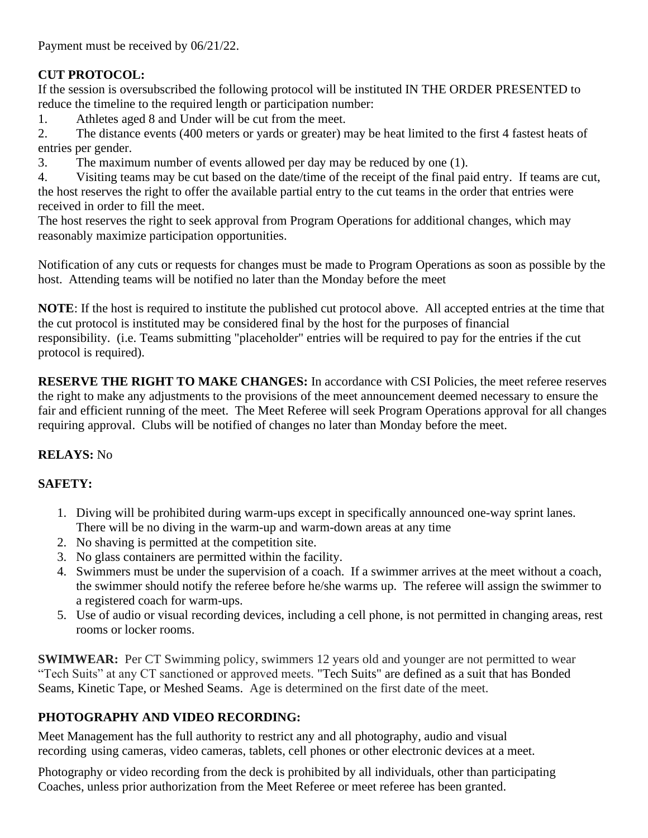Payment must be received by 06/21/22.

# **CUT PROTOCOL:**

If the session is oversubscribed the following protocol will be instituted IN THE ORDER PRESENTED to reduce the timeline to the required length or participation number:

1. Athletes aged 8 and Under will be cut from the meet.

2. The distance events (400 meters or yards or greater) may be heat limited to the first 4 fastest heats of entries per gender.

3. The maximum number of events allowed per day may be reduced by one (1).

4. Visiting teams may be cut based on the date/time of the receipt of the final paid entry. If teams are cut, the host reserves the right to offer the available partial entry to the cut teams in the order that entries were received in order to fill the meet.

The host reserves the right to seek approval from Program Operations for additional changes, which may reasonably maximize participation opportunities.

Notification of any cuts or requests for changes must be made to Program Operations as soon as possible by the host. Attending teams will be notified no later than the Monday before the meet

**NOTE**: If the host is required to institute the published cut protocol above. All accepted entries at the time that the cut protocol is instituted may be considered final by the host for the purposes of financial responsibility. (i.e. Teams submitting "placeholder" entries will be required to pay for the entries if the cut protocol is required).

**RESERVE THE RIGHT TO MAKE CHANGES:** In accordance with CSI Policies, the meet referee reserves the right to make any adjustments to the provisions of the meet announcement deemed necessary to ensure the fair and efficient running of the meet. The Meet Referee will seek Program Operations approval for all changes requiring approval. Clubs will be notified of changes no later than Monday before the meet.

## **RELAYS:** No

## **SAFETY:**

- 1. Diving will be prohibited during warm-ups except in specifically announced one-way sprint lanes. There will be no diving in the warm-up and warm-down areas at any time
- 2. No shaving is permitted at the competition site.
- 3. No glass containers are permitted within the facility.
- 4. Swimmers must be under the supervision of a coach. If a swimmer arrives at the meet without a coach, the swimmer should notify the referee before he/she warms up. The referee will assign the swimmer to a registered coach for warm-ups.
- 5. Use of audio or visual recording devices, including a cell phone, is not permitted in changing areas, rest rooms or locker rooms.

**SWIMWEAR:** Per CT Swimming policy, swimmers 12 years old and younger are not permitted to wear "Tech Suits" at any CT sanctioned or approved meets. "Tech Suits" are defined as a suit that has Bonded Seams, Kinetic Tape, or Meshed Seams. Age is determined on the first date of the meet.

## **PHOTOGRAPHY AND VIDEO RECORDING:**

Meet Management has the full authority to restrict any and all photography, audio and visual recording using cameras, video cameras, tablets, cell phones or other electronic devices at a meet.

Photography or video recording from the deck is prohibited by all individuals, other than participating Coaches, unless prior authorization from the Meet Referee or meet referee has been granted.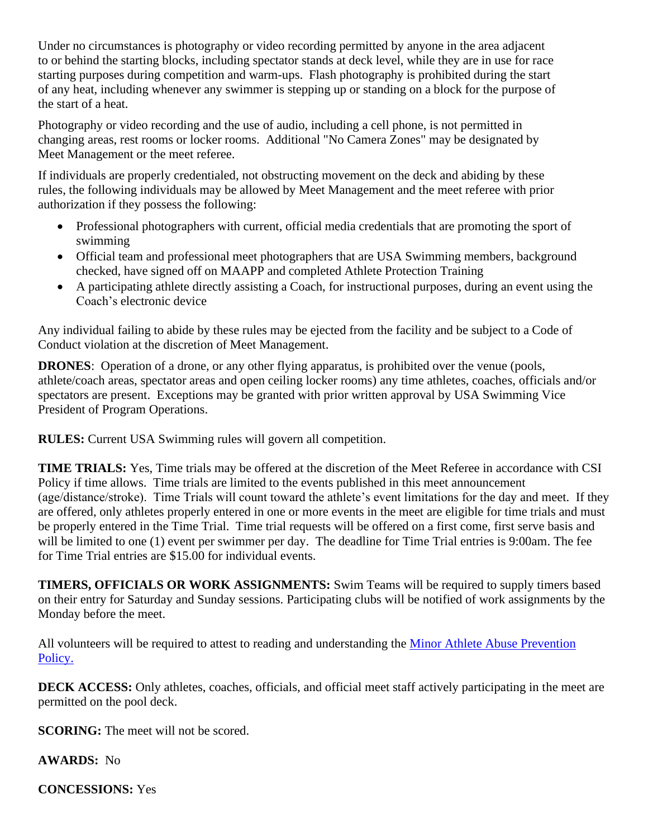Under no circumstances is photography or video recording permitted by anyone in the area adjacent to or behind the starting blocks, including spectator stands at deck level, while they are in use for race starting purposes during competition and warm-ups. Flash photography is prohibited during the start of any heat, including whenever any swimmer is stepping up or standing on a block for the purpose of the start of a heat.

Photography or video recording and the use of audio, including a cell phone, is not permitted in changing areas, rest rooms or locker rooms. Additional "No Camera Zones" may be designated by Meet Management or the meet referee.

If individuals are properly credentialed, not obstructing movement on the deck and abiding by these rules, the following individuals may be allowed by Meet Management and the meet referee with prior authorization if they possess the following:

- Professional photographers with current, official media credentials that are promoting the sport of swimming
- Official team and professional meet photographers that are USA Swimming members, background checked, have signed off on MAAPP and completed Athlete Protection Training
- A participating athlete directly assisting a Coach, for instructional purposes, during an event using the Coach's electronic device

Any individual failing to abide by these rules may be ejected from the facility and be subject to a Code of Conduct violation at the discretion of Meet Management.

**DRONES**: Operation of a drone, or any other flying apparatus, is prohibited over the venue (pools, athlete/coach areas, spectator areas and open ceiling locker rooms) any time athletes, coaches, officials and/or spectators are present. Exceptions may be granted with prior written approval by USA Swimming Vice President of Program Operations.

**RULES:** Current USA Swimming rules will govern all competition.

**TIME TRIALS:** Yes, Time trials may be offered at the discretion of the Meet Referee in accordance with CSI Policy if time allows. Time trials are limited to the events published in this meet announcement (age/distance/stroke). Time Trials will count toward the athlete's event limitations for the day and meet. If they are offered, only athletes properly entered in one or more events in the meet are eligible for time trials and must be properly entered in the Time Trial. Time trial requests will be offered on a first come, first serve basis and will be limited to one (1) event per swimmer per day. The deadline for Time Trial entries is 9:00am. The fee for Time Trial entries are \$15.00 for individual events.

**TIMERS, OFFICIALS OR WORK ASSIGNMENTS:** Swim Teams will be required to supply timers based on their entry for Saturday and Sunday sessions. Participating clubs will be notified of work assignments by the Monday before the meet.

All volunteers will be required to attest to reading and understanding the Minor Athlete Abuse Prevention [Policy.](https://www.usaswimming.org/utility/landing-pages/minor-athlete-abuse-prevention-policy)

**DECK ACCESS:** Only athletes, coaches, officials, and official meet staff actively participating in the meet are permitted on the pool deck.

**SCORING:** The meet will not be scored.

**AWARDS:** No

**CONCESSIONS:** Yes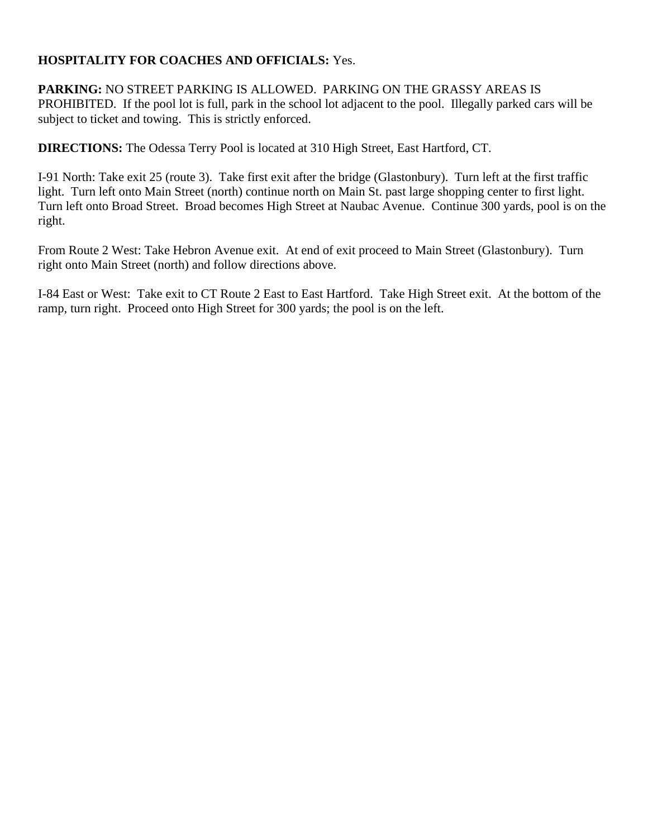#### **HOSPITALITY FOR COACHES AND OFFICIALS:** Yes.

**PARKING:** NO STREET PARKING IS ALLOWED. PARKING ON THE GRASSY AREAS IS PROHIBITED. If the pool lot is full, park in the school lot adjacent to the pool. Illegally parked cars will be subject to ticket and towing. This is strictly enforced.

**DIRECTIONS:** The Odessa Terry Pool is located at 310 High Street, East Hartford, CT.

I-91 North: Take exit 25 (route 3). Take first exit after the bridge (Glastonbury). Turn left at the first traffic light. Turn left onto Main Street (north) continue north on Main St. past large shopping center to first light. Turn left onto Broad Street. Broad becomes High Street at Naubac Avenue. Continue 300 yards, pool is on the right.

From Route 2 West: Take Hebron Avenue exit. At end of exit proceed to Main Street (Glastonbury). Turn right onto Main Street (north) and follow directions above.

I-84 East or West: Take exit to CT Route 2 East to East Hartford. Take High Street exit. At the bottom of the ramp, turn right. Proceed onto High Street for 300 yards; the pool is on the left.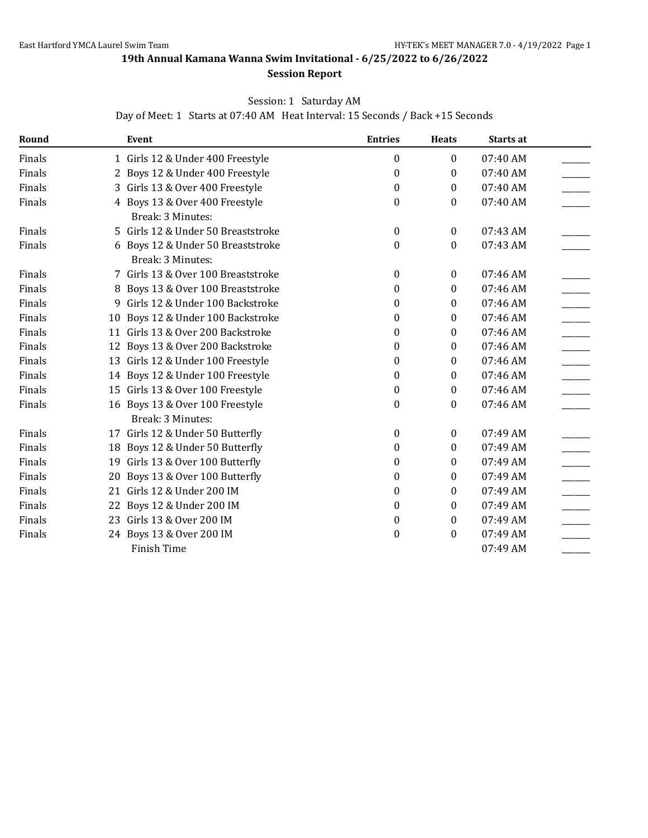<span id="page-7-0"></span>**19th Annual Kamana Wanna Swim Invitational - 6/25/2022 to 6/26/2022**

#### **Session Report**

#### Session: 1 Saturday AM

Day of Meet: 1 Starts at 07:40 AM Heat Interval: 15 Seconds / Back +15 Seconds

| Round  |    | Event                                                  | <b>Entries</b>   | <b>Heats</b>     | Starts at  |  |
|--------|----|--------------------------------------------------------|------------------|------------------|------------|--|
| Finals |    | 1 Girls 12 & Under 400 Freestyle                       | 0                | $\boldsymbol{0}$ | 07:40 AM   |  |
| Finals |    | 2 Boys 12 & Under 400 Freestyle                        | 0                | 0                | 07:40 AM   |  |
| Finals | 3  | Girls 13 & Over 400 Freestyle                          | 0                | $\bf{0}$         | 07:40 AM   |  |
| Finals |    | 4 Boys 13 & Over 400 Freestyle<br>Break: 3 Minutes:    | 0                | 0                | 07:40 AM   |  |
| Finals |    | 5 Girls 12 & Under 50 Breaststroke                     | $\boldsymbol{0}$ | $\bf{0}$         | 07:43 AM   |  |
| Finals |    | 6 Boys 12 & Under 50 Breaststroke<br>Break: 3 Minutes: | $\boldsymbol{0}$ | 0                | 07:43 AM   |  |
| Finals |    | 7 Girls 13 & Over 100 Breaststroke                     | $\boldsymbol{0}$ | $\bf{0}$         | 07:46 AM   |  |
| Finals | 8  | Boys 13 & Over 100 Breaststroke                        | 0                | 0                | 07:46 AM   |  |
| Finals | 9  | Girls 12 & Under 100 Backstroke                        | 0                | $\theta$         | 07:46 AM   |  |
| Finals | 10 | Boys 12 & Under 100 Backstroke                         | 0                | $\bf{0}$         | 07:46 AM   |  |
| Finals | 11 | Girls 13 & Over 200 Backstroke                         | 0                | $\bf{0}$         | 07:46 AM   |  |
| Finals |    | 12 Boys 13 & Over 200 Backstroke                       | 0                | $\bf{0}$         | 07:46 AM   |  |
| Finals |    | 13 Girls 12 & Under 100 Freestyle                      | 0                | $\bf{0}$         | 07:46 AM   |  |
| Finals |    | 14 Boys 12 & Under 100 Freestyle                       | 0                | $\bf{0}$         | 07:46 AM   |  |
| Finals |    | 15 Girls 13 & Over 100 Freestyle                       | 0                | $\bf{0}$         | 07:46 AM   |  |
| Finals |    | 16 Boys 13 & Over 100 Freestyle<br>Break: 3 Minutes:   | 0                | $\bf{0}$         | 07:46 AM   |  |
| Finals |    | 17 Girls 12 & Under 50 Butterfly                       | $\boldsymbol{0}$ | $\bf{0}$         | $07:49$ AM |  |
| Finals |    | 18 Boys 12 & Under 50 Butterfly                        | $\boldsymbol{0}$ | 0                | 07:49 AM   |  |
| Finals |    | 19 Girls 13 & Over 100 Butterfly                       | 0                | $\theta$         | 07:49 AM   |  |
| Finals | 20 | Boys 13 & Over 100 Butterfly                           | 0                | $\bf{0}$         | 07:49 AM   |  |
| Finals | 21 | Girls 12 & Under 200 IM                                | 0                | $\bf{0}$         | 07:49 AM   |  |
| Finals | 22 | Boys 12 & Under 200 IM                                 | 0                | $\bf{0}$         | 07:49 AM   |  |
| Finals |    | 23 Girls 13 & Over 200 IM                              | 0                | $\bf{0}$         | 07:49 AM   |  |
| Finals |    | 24 Boys 13 & Over 200 IM                               | 0                | $\theta$         | 07:49 AM   |  |
|        |    | Finish Time                                            |                  |                  | 07:49 AM   |  |